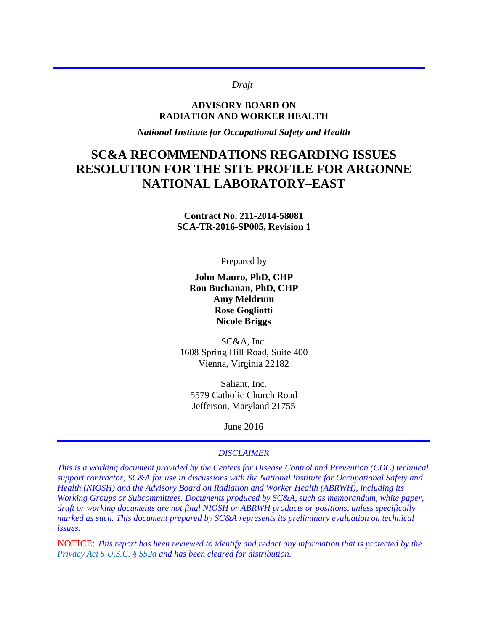#### *Draft*

#### **ADVISORY BOARD ON RADIATION AND WORKER HEALTH**

*National Institute for Occupational Safety and Health* 

# **SC&A RECOMMENDATIONS REGARDING ISSUES RESOLUTION FOR THE SITE PROFILE FOR ARGONNE NATIONAL LABORATORY–EAST**

**Contract No. 211-2014-58081 SCA-TR-2016-SP005, Revision 1** 

Prepared by

**John Mauro, PhD, CHP Ron Buchanan, PhD, CHP Amy Meldrum Rose Gogliotti Nicole Briggs**

SC&A, Inc. 1608 Spring Hill Road, Suite 400 Vienna, Virginia 22182

Saliant, Inc. 5579 Catholic Church Road Jefferson, Maryland 21755

June 2016

#### *DISCLAIMER*

*This is a working document provided by the Centers for Disease Control and Prevention (CDC) technical support contractor, SC&A for use in discussions with the National Institute for Occupational Safety and Health (NIOSH) and the Advisory Board on Radiation and Worker Health (ABRWH), including its Working Groups or Subcommittees. Documents produced by SC&A, such as memorandum, white paper, draft or working documents are not final NIOSH or ABRWH products or positions, unless specifically marked as such. This document prepared by SC&A represents its preliminary evaluation on technical issues.* 

NOTICE: *This report has been reviewed to identify and redact any information that is protected by the [Privacy Act 5 U.S.C. § 552a](http://www.justice.gov/opcl/privacy-act-1974) and has been cleared for distribution.*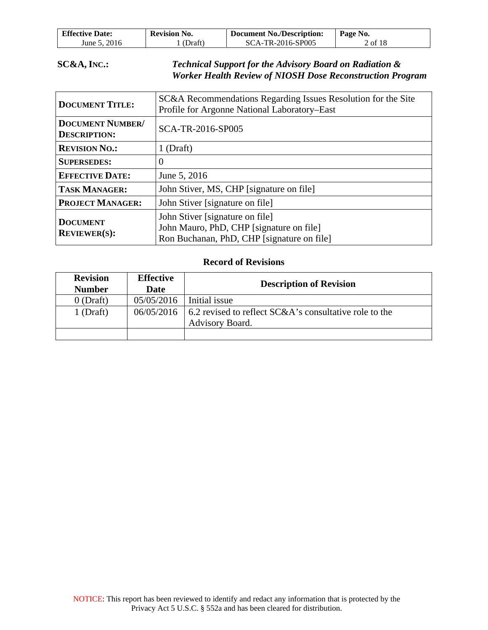| <b>Effective Date:</b> | <b>Revision No.</b> | <b>Document No./Description:</b> | Page No. |
|------------------------|---------------------|----------------------------------|----------|
| June 5, 2016           | (Draft)             | SCA-TR-2016-SP005                | 2 of 18  |

#### **SC&A, INC.:** *Technical Support for the Advisory Board on Radiation & Worker Health Review of NIOSH Dose Reconstruction Program*

| <b>DOCUMENT TITLE:</b>                         | SC&A Recommendations Regarding Issues Resolution for the Site<br>Profile for Argonne National Laboratory–East             |  |
|------------------------------------------------|---------------------------------------------------------------------------------------------------------------------------|--|
| <b>DOCUMENT NUMBER/</b><br><b>DESCRIPTION:</b> | SCA-TR-2016-SP005                                                                                                         |  |
| <b>REVISION NO.:</b>                           | $1$ (Draft)                                                                                                               |  |
| <b>SUPERSEDES:</b>                             | 0                                                                                                                         |  |
| <b>EFFECTIVE DATE:</b>                         | June 5, 2016                                                                                                              |  |
| <b>TASK MANAGER:</b>                           | John Stiver, MS, CHP [signature on file]                                                                                  |  |
| <b>PROJECT MANAGER:</b>                        | John Stiver [signature on file]                                                                                           |  |
| <b>DOCUMENT</b><br><b>REVIEWER(S):</b>         | John Stiver [signature on file]<br>John Mauro, PhD, CHP [signature on file]<br>Ron Buchanan, PhD, CHP [signature on file] |  |

#### **Record of Revisions**

| <b>Revision</b><br><b>Number</b> | <b>Effective</b><br>Date | <b>Description of Revision</b>                                                           |
|----------------------------------|--------------------------|------------------------------------------------------------------------------------------|
| $0$ (Draft)                      | 05/05/2016               | Initial issue                                                                            |
| $1$ (Draft)                      |                          | $06/05/2016$   6.2 revised to reflect SC&A's consultative role to the<br>Advisory Board. |
|                                  |                          |                                                                                          |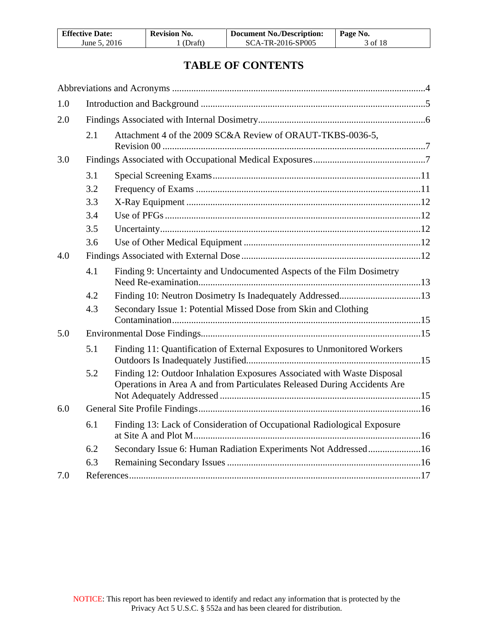| <b>Effective Date:</b> | <b>Revision No.</b> | <b>Document No./Description:</b> | Page No. |
|------------------------|---------------------|----------------------------------|----------|
| June 5, 2016           | (Draft)             | SCA-TR-2016-SP005                | 3 of 18  |

# **TABLE OF CONTENTS**

| 1.0 |     |                                                                                                                                                     |  |
|-----|-----|-----------------------------------------------------------------------------------------------------------------------------------------------------|--|
| 2.0 |     |                                                                                                                                                     |  |
|     | 2.1 | Attachment 4 of the 2009 SC&A Review of ORAUT-TKBS-0036-5,                                                                                          |  |
| 3.0 |     |                                                                                                                                                     |  |
|     | 3.1 |                                                                                                                                                     |  |
|     | 3.2 |                                                                                                                                                     |  |
|     | 3.3 |                                                                                                                                                     |  |
|     | 3.4 |                                                                                                                                                     |  |
|     | 3.5 |                                                                                                                                                     |  |
|     | 3.6 |                                                                                                                                                     |  |
| 4.0 |     |                                                                                                                                                     |  |
|     | 4.1 | Finding 9: Uncertainty and Undocumented Aspects of the Film Dosimetry                                                                               |  |
|     | 4.2 |                                                                                                                                                     |  |
|     | 4.3 | Secondary Issue 1: Potential Missed Dose from Skin and Clothing                                                                                     |  |
| 5.0 |     |                                                                                                                                                     |  |
|     | 5.1 | Finding 11: Quantification of External Exposures to Unmonitored Workers                                                                             |  |
|     | 5.2 | Finding 12: Outdoor Inhalation Exposures Associated with Waste Disposal<br>Operations in Area A and from Particulates Released During Accidents Are |  |
| 6.0 |     |                                                                                                                                                     |  |
|     | 6.1 | Finding 13: Lack of Consideration of Occupational Radiological Exposure                                                                             |  |
|     | 6.2 | Secondary Issue 6: Human Radiation Experiments Not Addressed16                                                                                      |  |
|     | 6.3 |                                                                                                                                                     |  |
| 7.0 |     |                                                                                                                                                     |  |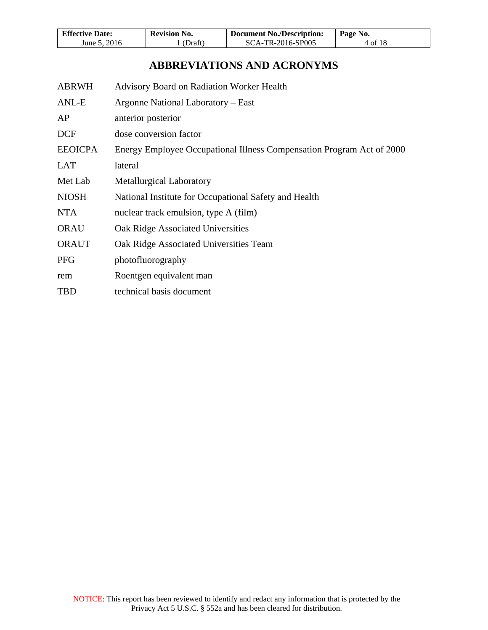| <b>Effective Date:</b> | <b>Revision No.</b> | <b>Document No./Description:</b> | Page No. |
|------------------------|---------------------|----------------------------------|----------|
| June 5, 2016           | (Draft)             | SCA-TR-2016-SP005                | 4 of 18  |

# **ABBREVIATIONS AND ACRONYMS**

<span id="page-3-0"></span>

| <b>Advisory Board on Radiation Worker Health</b>                      |
|-----------------------------------------------------------------------|
| Argonne National Laboratory – East                                    |
| anterior posterior                                                    |
| dose conversion factor                                                |
| Energy Employee Occupational Illness Compensation Program Act of 2000 |
| lateral                                                               |
| <b>Metallurgical Laboratory</b>                                       |
| National Institute for Occupational Safety and Health                 |
| nuclear track emulsion, type A (film)                                 |
| Oak Ridge Associated Universities                                     |
| Oak Ridge Associated Universities Team                                |
| photofluorography                                                     |
| Roentgen equivalent man                                               |
| technical basis document                                              |
|                                                                       |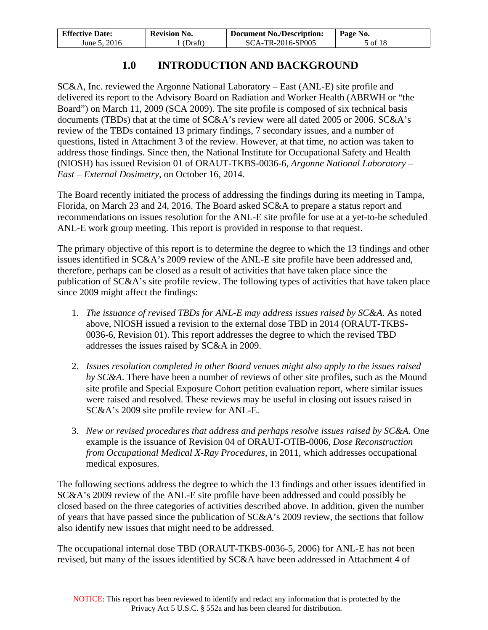| <b>Effective Date:</b> | <b>Revision No.</b> | <b>Document No./Description:</b> | Page No. |
|------------------------|---------------------|----------------------------------|----------|
| June 5, 2016           | (Draft)             | SCA-TR-2016-SP005                | 5 of 18  |

# **1.0 INTRODUCTION AND BACKGROUND**

<span id="page-4-0"></span>SC&A, Inc. reviewed the Argonne National Laboratory – East (ANL-E) site profile and delivered its report to the Advisory Board on Radiation and Worker Health (ABRWH or "the Board") on March 11, 2009 (SCA 2009). The site profile is composed of six technical basis documents (TBDs) that at the time of SC&A's review were all dated 2005 or 2006. SC&A's review of the TBDs contained 13 primary findings, 7 secondary issues, and a number of questions, listed in Attachment 3 of the review. However, at that time, no action was taken to address those findings. Since then, the National Institute for Occupational Safety and Health (NIOSH) has issued Revision 01 of ORAUT-TKBS-0036-6, *Argonne National Laboratory – East – External Dosimetry*, on October 16, 2014.

The Board recently initiated the process of addressing the findings during its meeting in Tampa, Florida, on March 23 and 24, 2016. The Board asked SC&A to prepare a status report and recommendations on issues resolution for the ANL-E site profile for use at a yet-to-be scheduled ANL-E work group meeting. This report is provided in response to that request.

The primary objective of this report is to determine the degree to which the 13 findings and other issues identified in SC&A's 2009 review of the ANL-E site profile have been addressed and, therefore, perhaps can be closed as a result of activities that have taken place since the publication of SC&A's site profile review. The following types of activities that have taken place since 2009 might affect the findings:

- 1. *The issuance of revised TBDs for ANL-E may address issues raised by SC&A*. As noted above, NIOSH issued a revision to the external dose TBD in 2014 (ORAUT-TKBS-0036-6, Revision 01). This report addresses the degree to which the revised TBD addresses the issues raised by SC&A in 2009.
- 2. *Issues resolution completed in other Board venues might also apply to the issues raised by SC&A*. There have been a number of reviews of other site profiles, such as the Mound site profile and Special Exposure Cohort petition evaluation report, where similar issues were raised and resolved. These reviews may be useful in closing out issues raised in SC&A's 2009 site profile review for ANL-E.
- 3. *New or revised procedures that address and perhaps resolve issues raised by SC&A*. One example is the issuance of Revision 04 of ORAUT-OTIB-0006, *Dose Reconstruction from Occupational Medical X-Ray Procedures*, in 2011, which addresses occupational medical exposures.

The following sections address the degree to which the 13 findings and other issues identified in SC&A's 2009 review of the ANL-E site profile have been addressed and could possibly be closed based on the three categories of activities described above. In addition, given the number of years that have passed since the publication of SC&A's 2009 review, the sections that follow also identify new issues that might need to be addressed.

The occupational internal dose TBD (ORAUT-TKBS-0036-5, 2006) for ANL-E has not been revised, but many of the issues identified by SC&A have been addressed in Attachment 4 of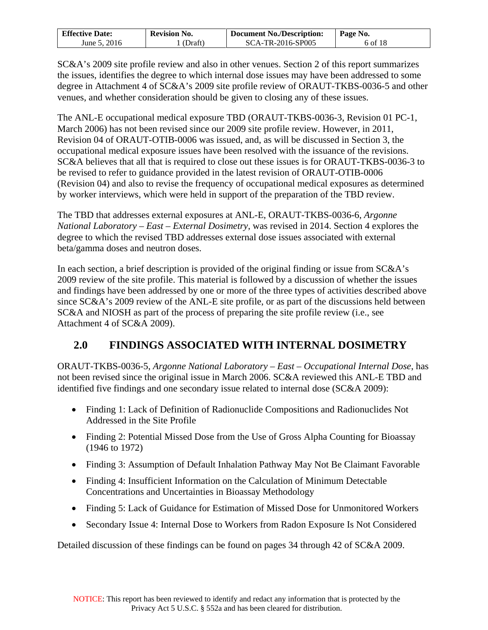| <b>Effective Date:</b> | <b>Revision No.</b> | <b>Document No./Description:</b> | Page No. |
|------------------------|---------------------|----------------------------------|----------|
| June 5, 2016           | (Draft)             | SCA-TR-2016-SP005                | 6 of 18  |

SC&A's 2009 site profile review and also in other venues. Section 2 of this report summarizes the issues, identifies the degree to which internal dose issues may have been addressed to some degree in Attachment 4 of SC&A's 2009 site profile review of ORAUT-TKBS-0036-5 and other venues, and whether consideration should be given to closing any of these issues.

The ANL-E occupational medical exposure TBD (ORAUT-TKBS-0036-3, Revision 01 PC-1, March 2006) has not been revised since our 2009 site profile review. However, in 2011, Revision 04 of ORAUT-OTIB-0006 was issued, and, as will be discussed in Section 3, the occupational medical exposure issues have been resolved with the issuance of the revisions. SC&A believes that all that is required to close out these issues is for ORAUT-TKBS-0036-3 to be revised to refer to guidance provided in the latest revision of ORAUT-OTIB-0006 (Revision 04) and also to revise the frequency of occupational medical exposures as determined by worker interviews, which were held in support of the preparation of the TBD review.

The TBD that addresses external exposures at ANL-E, ORAUT-TKBS-0036-6, *Argonne National Laboratory – East – External Dosimetry*, was revised in 2014. Section 4 explores the degree to which the revised TBD addresses external dose issues associated with external beta/gamma doses and neutron doses.

In each section, a brief description is provided of the original finding or issue from SC&A's 2009 review of the site profile. This material is followed by a discussion of whether the issues and findings have been addressed by one or more of the three types of activities described above since SC&A's 2009 review of the ANL-E site profile, or as part of the discussions held between SC&A and NIOSH as part of the process of preparing the site profile review (i.e., see Attachment 4 of SC&A 2009).

# <span id="page-5-0"></span>**2.0 FINDINGS ASSOCIATED WITH INTERNAL DOSIMETRY**

ORAUT-TKBS-0036-5, *Argonne National Laboratory – East – Occupational Internal Dose*, has not been revised since the original issue in March 2006. SC&A reviewed this ANL-E TBD and identified five findings and one secondary issue related to internal dose (SC&A 2009):

- Finding 1: Lack of Definition of Radionuclide Compositions and Radionuclides Not Addressed in the Site Profile
- Finding 2: Potential Missed Dose from the Use of Gross Alpha Counting for Bioassay (1946 to 1972)
- Finding 3: Assumption of Default Inhalation Pathway May Not Be Claimant Favorable
- Finding 4: Insufficient Information on the Calculation of Minimum Detectable Concentrations and Uncertainties in Bioassay Methodology
- Finding 5: Lack of Guidance for Estimation of Missed Dose for Unmonitored Workers
- Secondary Issue 4: Internal Dose to Workers from Radon Exposure Is Not Considered

Detailed discussion of these findings can be found on pages 34 through 42 of SC&A 2009.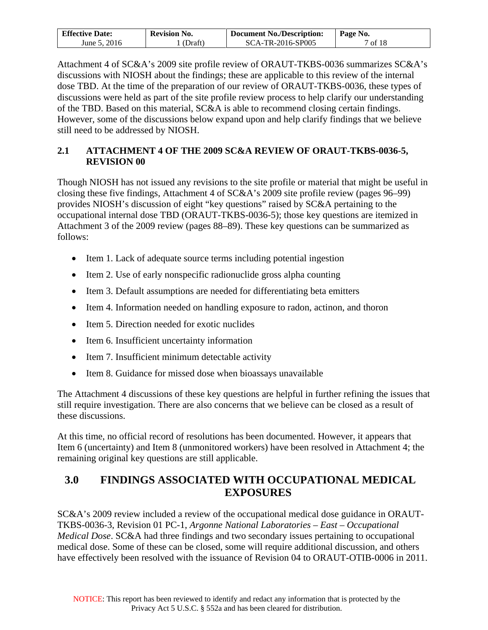| <b>Effective Date:</b> | <b>Revision No.</b> | Document No./Description: | Page No. |
|------------------------|---------------------|---------------------------|----------|
| June 5, 2016           | (Draft)             | SCA-TR-2016-SP005         | of $18$  |

Attachment 4 of SC&A's 2009 site profile review of ORAUT-TKBS-0036 summarizes SC&A's discussions with NIOSH about the findings; these are applicable to this review of the internal dose TBD. At the time of the preparation of our review of ORAUT-TKBS-0036, these types of discussions were held as part of the site profile review process to help clarify our understanding of the TBD. Based on this material, SC&A is able to recommend closing certain findings. However, some of the discussions below expand upon and help clarify findings that we believe still need to be addressed by NIOSH.

## <span id="page-6-0"></span>**2.1 ATTACHMENT 4 OF THE 2009 SC&A REVIEW OF ORAUT-TKBS-0036-5, REVISION 00**

Though NIOSH has not issued any revisions to the site profile or material that might be useful in closing these five findings, Attachment 4 of SC&A's 2009 site profile review (pages 96–99) provides NIOSH's discussion of eight "key questions" raised by SC&A pertaining to the occupational internal dose TBD (ORAUT-TKBS-0036-5); those key questions are itemized in Attachment 3 of the 2009 review (pages 88–89). These key questions can be summarized as follows:

- Item 1. Lack of adequate source terms including potential ingestion
- Item 2. Use of early nonspecific radionuclide gross alpha counting
- Item 3. Default assumptions are needed for differentiating beta emitters
- Item 4. Information needed on handling exposure to radon, actinon, and thoron
- Item 5. Direction needed for exotic nuclides
- Item 6. Insufficient uncertainty information
- Item 7. Insufficient minimum detectable activity
- Item 8. Guidance for missed dose when bioassays unavailable

The Attachment 4 discussions of these key questions are helpful in further refining the issues that still require investigation. There are also concerns that we believe can be closed as a result of these discussions.

At this time, no official record of resolutions has been documented. However, it appears that Item 6 (uncertainty) and Item 8 (unmonitored workers) have been resolved in Attachment 4; the remaining original key questions are still applicable.

# <span id="page-6-1"></span>**3.0 FINDINGS ASSOCIATED WITH OCCUPATIONAL MEDICAL EXPOSURES**

SC&A's 2009 review included a review of the occupational medical dose guidance in ORAUT-TKBS-0036-3, Revision 01 PC-1, *Argonne National Laboratories – East – Occupational Medical Dose*. SC&A had three findings and two secondary issues pertaining to occupational medical dose. Some of these can be closed, some will require additional discussion, and others have effectively been resolved with the issuance of Revision 04 to ORAUT-OTIB-0006 in 2011.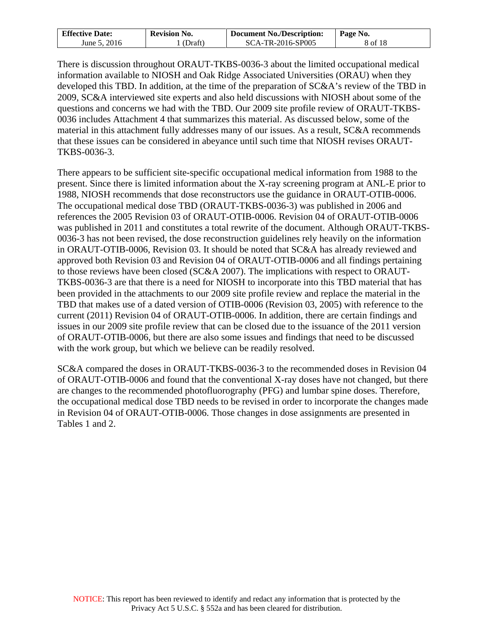| <b>Effective Date:</b> | <b>Revision No.</b> | <b>Document No./Description:</b> | Page No. |
|------------------------|---------------------|----------------------------------|----------|
| June 5, 2016           | (Draft)             | SCA-TR-2016-SP005                | 8 of 18  |

There is discussion throughout ORAUT-TKBS-0036-3 about the limited occupational medical information available to NIOSH and Oak Ridge Associated Universities (ORAU) when they developed this TBD. In addition, at the time of the preparation of SC&A's review of the TBD in 2009, SC&A interviewed site experts and also held discussions with NIOSH about some of the questions and concerns we had with the TBD. Our 2009 site profile review of ORAUT-TKBS-0036 includes Attachment 4 that summarizes this material. As discussed below, some of the material in this attachment fully addresses many of our issues. As a result, SC&A recommends that these issues can be considered in abeyance until such time that NIOSH revises ORAUT-TKBS-0036-3.

There appears to be sufficient site-specific occupational medical information from 1988 to the present. Since there is limited information about the X-ray screening program at ANL-E prior to 1988, NIOSH recommends that dose reconstructors use the guidance in ORAUT-OTIB-0006. The occupational medical dose TBD (ORAUT-TKBS-0036-3) was published in 2006 and references the 2005 Revision 03 of ORAUT-OTIB-0006. Revision 04 of ORAUT-OTIB-0006 was published in 2011 and constitutes a total rewrite of the document. Although ORAUT-TKBS-0036-3 has not been revised, the dose reconstruction guidelines rely heavily on the information in ORAUT-OTIB-0006, Revision 03. It should be noted that SC&A has already reviewed and approved both Revision 03 and Revision 04 of ORAUT-OTIB-0006 and all findings pertaining to those reviews have been closed (SC&A 2007). The implications with respect to ORAUT-TKBS-0036-3 are that there is a need for NIOSH to incorporate into this TBD material that has been provided in the attachments to our 2009 site profile review and replace the material in the TBD that makes use of a dated version of OTIB-0006 (Revision 03, 2005) with reference to the current (2011) Revision 04 of ORAUT-OTIB-0006. In addition, there are certain findings and issues in our 2009 site profile review that can be closed due to the issuance of the 2011 version of ORAUT-OTIB-0006, but there are also some issues and findings that need to be discussed with the work group, but which we believe can be readily resolved.

SC&A compared the doses in ORAUT-TKBS-0036-3 to the recommended doses in Revision 04 of ORAUT-OTIB-0006 and found that the conventional X-ray doses have not changed, but there are changes to the recommended photofluorography (PFG) and lumbar spine doses. Therefore, the occupational medical dose TBD needs to be revised in order to incorporate the changes made in Revision 04 of ORAUT-OTIB-0006. Those changes in dose assignments are presented in Tables 1 and 2.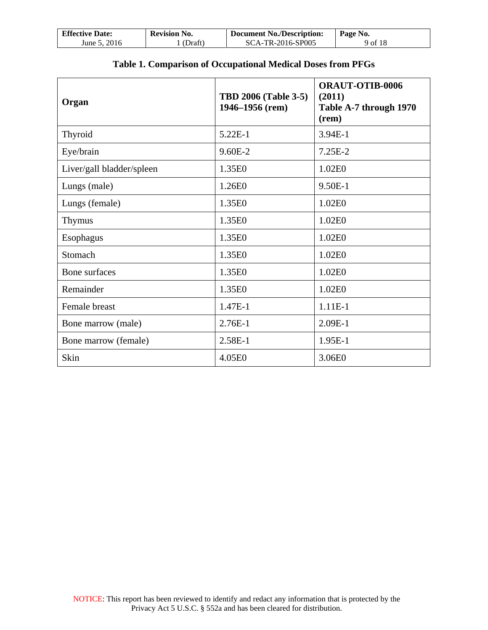| <b>Effective Date:</b> | <b>Revision No.</b> | <b>Document No./Description:</b> | Page No. |
|------------------------|---------------------|----------------------------------|----------|
| June 5, 2016           | (Draft)             | SCA-TR-2016-SP005                | 9 of 18  |

⅂

| Organ                     | <b>TBD 2006 (Table 3-5)</b><br>1946–1956 (rem) | <b>ORAUT-OTIB-0006</b><br>(2011)<br>Table A-7 through 1970<br>(rem) |
|---------------------------|------------------------------------------------|---------------------------------------------------------------------|
| Thyroid                   | $5.22E-1$                                      | 3.94E-1                                                             |
| Eye/brain                 | $9.60E-2$                                      | $7.25E-2$                                                           |
| Liver/gall bladder/spleen | 1.35E0                                         | 1.02E0                                                              |
| Lungs (male)              | 1.26E0                                         | 9.50E-1                                                             |
| Lungs (female)            | 1.35E0                                         | 1.02E0                                                              |
| Thymus                    | 1.35E0                                         | 1.02E0                                                              |
| Esophagus                 | 1.35E0                                         | 1.02E0                                                              |
| Stomach                   | 1.35E0                                         | 1.02E0                                                              |
| Bone surfaces             | 1.35E0                                         | 1.02E0                                                              |
| Remainder                 | 1.35E0                                         | 1.02E0                                                              |
| Female breast             | 1.47E-1                                        | $1.11E-1$                                                           |
| Bone marrow (male)        | $2.76E-1$                                      | $2.09E-1$                                                           |
| Bone marrow (female)      | 2.58E-1                                        | 1.95E-1                                                             |
| Skin                      | 4.05E0                                         | 3.06E0                                                              |

## **Table 1. Comparison of Occupational Medical Doses from PFGs**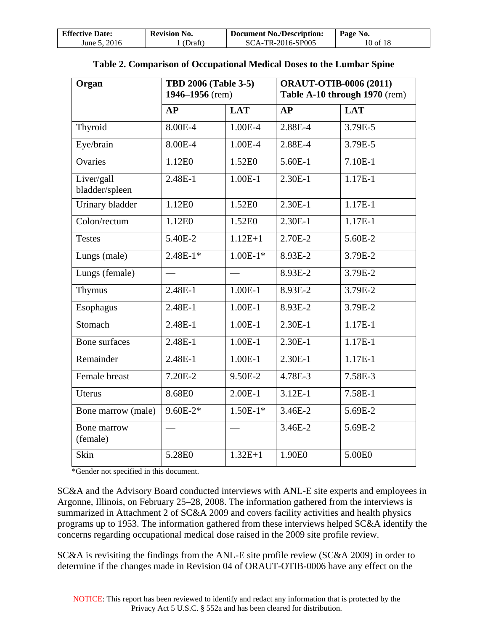| <b>Effective Date:</b> | <b>Revision No.</b> | <b>Document No./Description:</b> | Page No. |
|------------------------|---------------------|----------------------------------|----------|
| June 5, 2016           | (Draft)             | SCA-TR-2016-SP005                | 10 of 18 |

| Organ                        | <b>TBD 2006 (Table 3-5)</b><br>1946-1956 (rem) |             | <b>ORAUT-OTIB-0006 (2011)</b> | Table A-10 through 1970 (rem) |
|------------------------------|------------------------------------------------|-------------|-------------------------------|-------------------------------|
|                              | AP                                             | <b>LAT</b>  | AP                            | <b>LAT</b>                    |
| Thyroid                      | 8.00E-4                                        | 1.00E-4     | 2.88E-4                       | 3.79E-5                       |
| Eye/brain                    | 8.00E-4                                        | 1.00E-4     | 2.88E-4                       | 3.79E-5                       |
| Ovaries                      | 1.12E0                                         | 1.52E0      | 5.60E-1                       | 7.10E-1                       |
| Liver/gall<br>bladder/spleen | 2.48E-1                                        | $1.00E-1$   | 2.30E-1                       | 1.17E-1                       |
| Urinary bladder              | 1.12E0                                         | 1.52E0      | 2.30E-1                       | $1.17E-1$                     |
| Colon/rectum                 | 1.12E0                                         | 1.52E0      | 2.30E-1                       | 1.17E-1                       |
| <b>Testes</b>                | 5.40E-2                                        | $1.12E + 1$ | 2.70E-2                       | 5.60E-2                       |
| Lungs (male)                 | $2.48E-1*$                                     | $1.00E-1*$  | 8.93E-2                       | 3.79E-2                       |
| Lungs (female)               |                                                |             | 8.93E-2                       | 3.79E-2                       |
| <b>Thymus</b>                | 2.48E-1                                        | $1.00E-1$   | 8.93E-2                       | 3.79E-2                       |
| Esophagus                    | 2.48E-1                                        | $1.00E-1$   | 8.93E-2                       | 3.79E-2                       |
| Stomach                      | 2.48E-1                                        | $1.00E-1$   | 2.30E-1                       | 1.17E-1                       |
| Bone surfaces                | 2.48E-1                                        | $1.00E-1$   | 2.30E-1                       | $1.17E-1$                     |
| Remainder                    | 2.48E-1                                        | $1.00E-1$   | 2.30E-1                       | 1.17E-1                       |
| Female breast                | 7.20E-2                                        | 9.50E-2     | 4.78E-3                       | 7.58E-3                       |
| Uterus                       | 8.68E0                                         | $2.00E-1$   | $3.12E-1$                     | 7.58E-1                       |
| Bone marrow (male)           | $9.60E-2*$                                     | $1.50E-1*$  | 3.46E-2                       | 5.69E-2                       |
| Bone marrow<br>(female)      |                                                |             | 3.46E-2                       | 5.69E-2                       |
| Skin                         | 5.28E0                                         | $1.32E + 1$ | 1.90E0                        | 5.00E0                        |

|  |  | Table 2. Comparison of Occupational Medical Doses to the Lumbar Spine |  |
|--|--|-----------------------------------------------------------------------|--|
|  |  |                                                                       |  |

\*Gender not specified in this document.

SC&A and the Advisory Board conducted interviews with ANL-E site experts and employees in Argonne, Illinois, on February 25–28, 2008. The information gathered from the interviews is summarized in Attachment 2 of SC&A 2009 and covers facility activities and health physics programs up to 1953. The information gathered from these interviews helped SC&A identify the concerns regarding occupational medical dose raised in the 2009 site profile review.

SC&A is revisiting the findings from the ANL-E site profile review (SC&A 2009) in order to determine if the changes made in Revision 04 of ORAUT-OTIB-0006 have any effect on the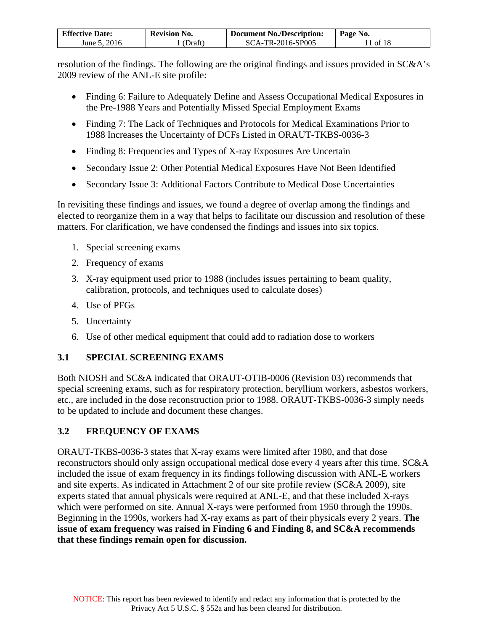| <b>Effective Date:</b> | <b>Revision No.</b> | <b>Document No./Description:</b> | Page No. |
|------------------------|---------------------|----------------------------------|----------|
| June 5, 2016           | (Draft)             | SCA-TR-2016-SP005                | 11 of 18 |

resolution of the findings. The following are the original findings and issues provided in SC&A's 2009 review of the ANL-E site profile:

- Finding 6: Failure to Adequately Define and Assess Occupational Medical Exposures in the Pre-1988 Years and Potentially Missed Special Employment Exams
- Finding 7: The Lack of Techniques and Protocols for Medical Examinations Prior to 1988 Increases the Uncertainty of DCFs Listed in ORAUT-TKBS-0036-3
- Finding 8: Frequencies and Types of X-ray Exposures Are Uncertain
- Secondary Issue 2: Other Potential Medical Exposures Have Not Been Identified
- Secondary Issue 3: Additional Factors Contribute to Medical Dose Uncertainties

In revisiting these findings and issues, we found a degree of overlap among the findings and elected to reorganize them in a way that helps to facilitate our discussion and resolution of these matters. For clarification, we have condensed the findings and issues into six topics.

- 1. Special screening exams
- 2. Frequency of exams
- 3. X-ray equipment used prior to 1988 (includes issues pertaining to beam quality, calibration, protocols, and techniques used to calculate doses)
- 4. Use of PFGs
- 5. Uncertainty
- 6. Use of other medical equipment that could add to radiation dose to workers

## <span id="page-10-0"></span>**3.1 SPECIAL SCREENING EXAMS**

Both NIOSH and SC&A indicated that ORAUT-OTIB-0006 (Revision 03) recommends that special screening exams, such as for respiratory protection, beryllium workers, asbestos workers, etc., are included in the dose reconstruction prior to 1988. ORAUT-TKBS-0036-3 simply needs to be updated to include and document these changes.

## <span id="page-10-1"></span>**3.2 FREQUENCY OF EXAMS**

ORAUT-TKBS-0036-3 states that X-ray exams were limited after 1980, and that dose reconstructors should only assign occupational medical dose every 4 years after this time. SC&A included the issue of exam frequency in its findings following discussion with ANL-E workers and site experts. As indicated in Attachment 2 of our site profile review (SC&A 2009), site experts stated that annual physicals were required at ANL-E, and that these included X-rays which were performed on site. Annual X-rays were performed from 1950 through the 1990s. Beginning in the 1990s, workers had X-ray exams as part of their physicals every 2 years. **The issue of exam frequency was raised in Finding 6 and Finding 8, and SC&A recommends that these findings remain open for discussion.**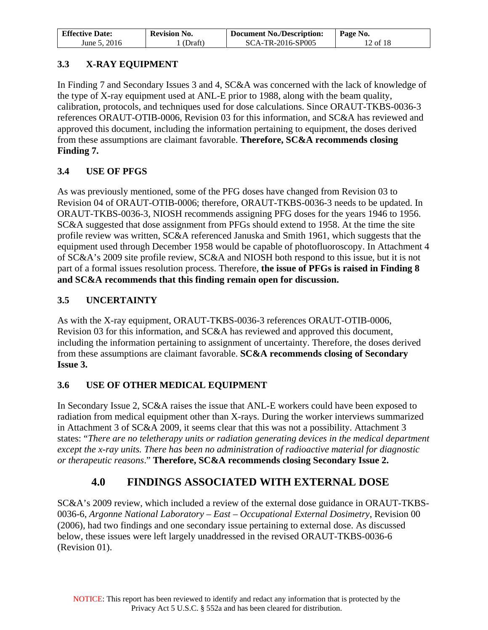| <b>Effective Date:</b> | <b>Revision No.</b> | <b>Document No./Description:</b> | Page No. |
|------------------------|---------------------|----------------------------------|----------|
| June 5, 2016           | (Draft)             | SCA-TR-2016-SP005                | 12 of 18 |

## <span id="page-11-0"></span>**3.3 X-RAY EQUIPMENT**

In Finding 7 and Secondary Issues 3 and 4, SC&A was concerned with the lack of knowledge of the type of X-ray equipment used at ANL-E prior to 1988, along with the beam quality, calibration, protocols, and techniques used for dose calculations. Since ORAUT-TKBS-0036-3 references ORAUT-OTIB-0006, Revision 03 for this information, and SC&A has reviewed and approved this document, including the information pertaining to equipment, the doses derived from these assumptions are claimant favorable. **Therefore, SC&A recommends closing Finding 7.**

## <span id="page-11-1"></span>**3.4 USE OF PFGS**

As was previously mentioned, some of the PFG doses have changed from Revision 03 to Revision 04 of ORAUT-OTIB-0006; therefore, ORAUT-TKBS-0036-3 needs to be updated. In ORAUT-TKBS-0036-3, NIOSH recommends assigning PFG doses for the years 1946 to 1956. SC&A suggested that dose assignment from PFGs should extend to 1958. At the time the site profile review was written, SC&A referenced Januska and Smith 1961, which suggests that the equipment used through December 1958 would be capable of photofluoroscopy. In Attachment 4 of SC&A's 2009 site profile review, SC&A and NIOSH both respond to this issue, but it is not part of a formal issues resolution process. Therefore, **the issue of PFGs is raised in Finding 8 and SC&A recommends that this finding remain open for discussion.**

## <span id="page-11-2"></span>**3.5 UNCERTAINTY**

As with the X-ray equipment, ORAUT-TKBS-0036-3 references ORAUT-OTIB-0006, Revision 03 for this information, and SC&A has reviewed and approved this document, including the information pertaining to assignment of uncertainty. Therefore, the doses derived from these assumptions are claimant favorable. **SC&A recommends closing of Secondary Issue 3.**

## <span id="page-11-3"></span>**3.6 USE OF OTHER MEDICAL EQUIPMENT**

In Secondary Issue 2, SC&A raises the issue that ANL-E workers could have been exposed to radiation from medical equipment other than X-rays. During the worker interviews summarized in Attachment 3 of SC&A 2009, it seems clear that this was not a possibility. Attachment 3 states: "*There are no teletherapy units or radiation generating devices in the medical department except the x-ray units. There has been no administration of radioactive material for diagnostic or therapeutic reasons*." **Therefore, SC&A recommends closing Secondary Issue 2.**

# **4.0 FINDINGS ASSOCIATED WITH EXTERNAL DOSE**

<span id="page-11-4"></span>SC&A's 2009 review, which included a review of the external dose guidance in ORAUT-TKBS-0036-6, *Argonne National Laboratory – East – Occupational External Dosimetry*, Revision 00 (2006), had two findings and one secondary issue pertaining to external dose. As discussed below, these issues were left largely unaddressed in the revised ORAUT-TKBS-0036-6 (Revision 01).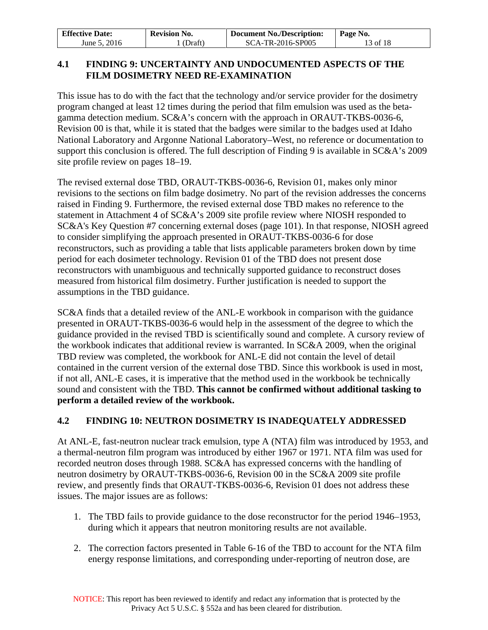| <b>Effective Date:</b> | <b>Revision No.</b> | <b>Document No./Description:</b> | Page No. |
|------------------------|---------------------|----------------------------------|----------|
| June 5, 2016           | (Draft)             | SCA-TR-2016-SP005                | 13 of 18 |

#### <span id="page-12-0"></span>**4.1 FINDING 9: UNCERTAINTY AND UNDOCUMENTED ASPECTS OF THE FILM DOSIMETRY NEED RE-EXAMINATION**

This issue has to do with the fact that the technology and/or service provider for the dosimetry program changed at least 12 times during the period that film emulsion was used as the betagamma detection medium. SC&A's concern with the approach in ORAUT-TKBS-0036-6, Revision 00 is that, while it is stated that the badges were similar to the badges used at Idaho National Laboratory and Argonne National Laboratory–West, no reference or documentation to support this conclusion is offered. The full description of Finding 9 is available in SC&A's 2009 site profile review on pages 18–19.

The revised external dose TBD, ORAUT-TKBS-0036-6, Revision 01, makes only minor revisions to the sections on film badge dosimetry. No part of the revision addresses the concerns raised in Finding 9. Furthermore, the revised external dose TBD makes no reference to the statement in Attachment 4 of SC&A's 2009 site profile review where NIOSH responded to SC&A's Key Question #7 concerning external doses (page 101). In that response, NIOSH agreed to consider simplifying the approach presented in ORAUT-TKBS-0036-6 for dose reconstructors, such as providing a table that lists applicable parameters broken down by time period for each dosimeter technology. Revision 01 of the TBD does not present dose reconstructors with unambiguous and technically supported guidance to reconstruct doses measured from historical film dosimetry. Further justification is needed to support the assumptions in the TBD guidance.

SC&A finds that a detailed review of the ANL-E workbook in comparison with the guidance presented in ORAUT-TKBS-0036-6 would help in the assessment of the degree to which the guidance provided in the revised TBD is scientifically sound and complete. A cursory review of the workbook indicates that additional review is warranted. In SC&A 2009, when the original TBD review was completed, the workbook for ANL-E did not contain the level of detail contained in the current version of the external dose TBD. Since this workbook is used in most, if not all, ANL-E cases, it is imperative that the method used in the workbook be technically sound and consistent with the TBD. **This cannot be confirmed without additional tasking to perform a detailed review of the workbook.**

#### <span id="page-12-1"></span>**4.2 FINDING 10: NEUTRON DOSIMETRY IS INADEQUATELY ADDRESSED**

At ANL-E, fast-neutron nuclear track emulsion, type A (NTA) film was introduced by 1953, and a thermal-neutron film program was introduced by either 1967 or 1971. NTA film was used for recorded neutron doses through 1988. SC&A has expressed concerns with the handling of neutron dosimetry by ORAUT-TKBS-0036-6, Revision 00 in the SC&A 2009 site profile review, and presently finds that ORAUT-TKBS-0036-6, Revision 01 does not address these issues. The major issues are as follows:

- 1. The TBD fails to provide guidance to the dose reconstructor for the period 1946–1953, during which it appears that neutron monitoring results are not available.
- 2. The correction factors presented in Table 6-16 of the TBD to account for the NTA film energy response limitations, and corresponding under-reporting of neutron dose, are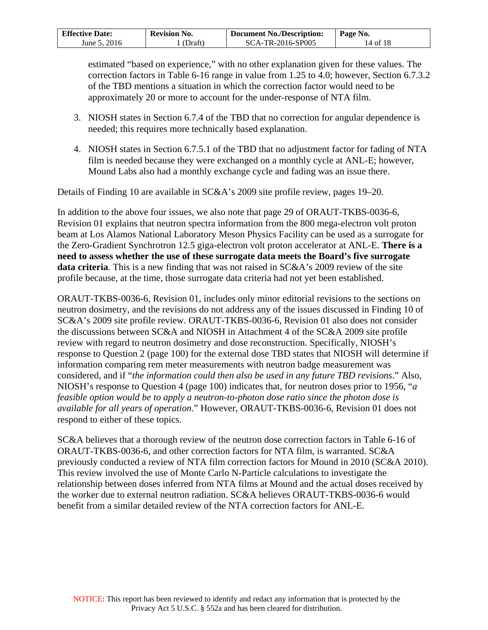| <b>Effective Date:</b> | <b>Revision No.</b> | <b>Document No./Description:</b> | Page No. |
|------------------------|---------------------|----------------------------------|----------|
| June 5, 2016           | (Draft)             | SCA-TR-2016-SP005                | 14 of 18 |

estimated "based on experience," with no other explanation given for these values. The correction factors in Table 6-16 range in value from 1.25 to 4.0; however, Section 6.7.3.2 of the TBD mentions a situation in which the correction factor would need to be approximately 20 or more to account for the under-response of NTA film.

- 3. NIOSH states in Section 6.7.4 of the TBD that no correction for angular dependence is needed; this requires more technically based explanation.
- 4. NIOSH states in Section 6.7.5.1 of the TBD that no adjustment factor for fading of NTA film is needed because they were exchanged on a monthly cycle at ANL-E; however, Mound Labs also had a monthly exchange cycle and fading was an issue there.

Details of Finding 10 are available in SC&A's 2009 site profile review, pages 19–20.

In addition to the above four issues, we also note that page 29 of ORAUT-TKBS-0036-6, Revision 01 explains that neutron spectra information from the 800 mega-electron volt proton beam at Los Alamos National Laboratory Meson Physics Facility can be used as a surrogate for the Zero-Gradient Synchrotron 12.5 giga-electron volt proton accelerator at ANL-E. **There is a need to assess whether the use of these surrogate data meets the Board's five surrogate data criteria**. This is a new finding that was not raised in SC&A's 2009 review of the site profile because, at the time, those surrogate data criteria had not yet been established.

ORAUT-TKBS-0036-6, Revision 01, includes only minor editorial revisions to the sections on neutron dosimetry, and the revisions do not address any of the issues discussed in Finding 10 of SC&A's 2009 site profile review. ORAUT-TKBS-0036-6, Revision 01 also does not consider the discussions between SC&A and NIOSH in Attachment 4 of the SC&A 2009 site profile review with regard to neutron dosimetry and dose reconstruction. Specifically, NIOSH's response to Question 2 (page 100) for the external dose TBD states that NIOSH will determine if information comparing rem meter measurements with neutron badge measurement was considered, and if "*the information could then also be used in any future TBD revisions*." Also, NIOSH's response to Question 4 (page 100) indicates that, for neutron doses prior to 1956, "*a feasible option would be to apply a neutron-to-photon dose ratio since the photon dose is available for all years of operation*." However, ORAUT-TKBS-0036-6, Revision 01 does not respond to either of these topics.

SC&A believes that a thorough review of the neutron dose correction factors in Table 6-16 of ORAUT-TKBS-0036-6, and other correction factors for NTA film, is warranted. SC&A previously conducted a review of NTA film correction factors for Mound in 2010 (SC&A 2010). This review involved the use of Monte Carlo N-Particle calculations to investigate the relationship between doses inferred from NTA films at Mound and the actual doses received by the worker due to external neutron radiation. SC&A believes ORAUT-TKBS-0036-6 would benefit from a similar detailed review of the NTA correction factors for ANL-E.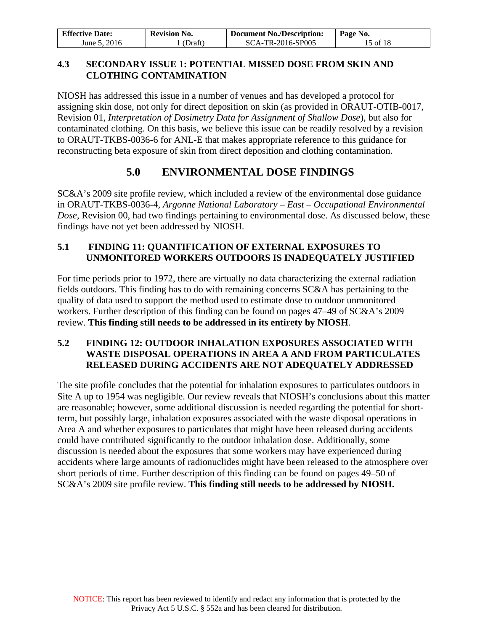| <b>Effective Date:</b> | <b>Revision No.</b> | <b>Document No./Description:</b> | Page No. |
|------------------------|---------------------|----------------------------------|----------|
| June 5, 2016           | (Draft)             | SCA-TR-2016-SP005                | 15 of 18 |

#### <span id="page-14-0"></span>**4.3 SECONDARY ISSUE 1: POTENTIAL MISSED DOSE FROM SKIN AND CLOTHING CONTAMINATION**

NIOSH has addressed this issue in a number of venues and has developed a protocol for assigning skin dose, not only for direct deposition on skin (as provided in ORAUT-OTIB-0017, Revision 01, *Interpretation of Dosimetry Data for Assignment of Shallow Dose*), but also for contaminated clothing. On this basis, we believe this issue can be readily resolved by a revision to ORAUT-TKBS-0036-6 for ANL-E that makes appropriate reference to this guidance for reconstructing beta exposure of skin from direct deposition and clothing contamination.

# **5.0 ENVIRONMENTAL DOSE FINDINGS**

<span id="page-14-1"></span>SC&A's 2009 site profile review, which included a review of the environmental dose guidance in ORAUT-TKBS-0036-4, *Argonne National Laboratory – East – Occupational Environmental Dose*, Revision 00, had two findings pertaining to environmental dose. As discussed below, these findings have not yet been addressed by NIOSH.

## <span id="page-14-2"></span>**5.1 FINDING 11: QUANTIFICATION OF EXTERNAL EXPOSURES TO UNMONITORED WORKERS OUTDOORS IS INADEQUATELY JUSTIFIED**

For time periods prior to 1972, there are virtually no data characterizing the external radiation fields outdoors. This finding has to do with remaining concerns SC&A has pertaining to the quality of data used to support the method used to estimate dose to outdoor unmonitored workers. Further description of this finding can be found on pages 47–49 of SC&A's 2009 review. **This finding still needs to be addressed in its entirety by NIOSH**.

### <span id="page-14-3"></span>**5.2 FINDING 12: OUTDOOR INHALATION EXPOSURES ASSOCIATED WITH WASTE DISPOSAL OPERATIONS IN AREA A AND FROM PARTICULATES RELEASED DURING ACCIDENTS ARE NOT ADEQUATELY ADDRESSED**

The site profile concludes that the potential for inhalation exposures to particulates outdoors in Site A up to 1954 was negligible. Our review reveals that NIOSH's conclusions about this matter are reasonable; however, some additional discussion is needed regarding the potential for shortterm, but possibly large, inhalation exposures associated with the waste disposal operations in Area A and whether exposures to particulates that might have been released during accidents could have contributed significantly to the outdoor inhalation dose. Additionally, some discussion is needed about the exposures that some workers may have experienced during accidents where large amounts of radionuclides might have been released to the atmosphere over short periods of time. Further description of this finding can be found on pages 49–50 of SC&A's 2009 site profile review. **This finding still needs to be addressed by NIOSH.**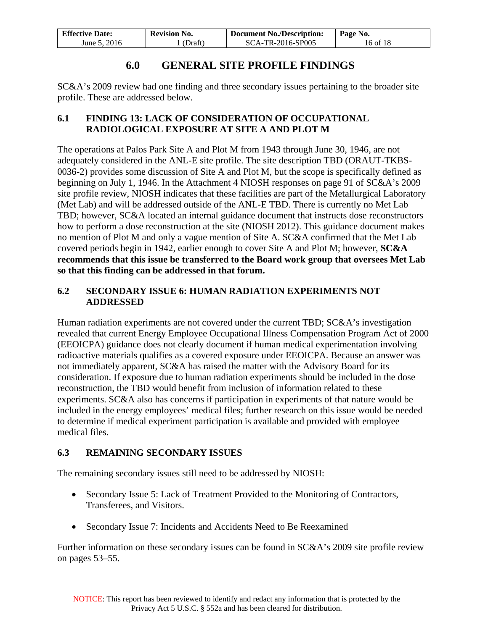| <b>Effective Date:</b> | <b>Revision No.</b> | <b>Document No./Description:</b> | Page No. |
|------------------------|---------------------|----------------------------------|----------|
| June 5, 2016           | (Draft)             | SCA-TR-2016-SP005                | 16 of 18 |

## **6.0 GENERAL SITE PROFILE FINDINGS**

<span id="page-15-0"></span>SC&A's 2009 review had one finding and three secondary issues pertaining to the broader site profile. These are addressed below.

#### <span id="page-15-1"></span>**6.1 FINDING 13: LACK OF CONSIDERATION OF OCCUPATIONAL RADIOLOGICAL EXPOSURE AT SITE A AND PLOT M**

The operations at Palos Park Site A and Plot M from 1943 through June 30, 1946, are not adequately considered in the ANL-E site profile. The site description TBD (ORAUT-TKBS-0036-2) provides some discussion of Site A and Plot M, but the scope is specifically defined as beginning on July 1, 1946. In the Attachment 4 NIOSH responses on page 91 of SC&A's 2009 site profile review, NIOSH indicates that these facilities are part of the Metallurgical Laboratory (Met Lab) and will be addressed outside of the ANL-E TBD. There is currently no Met Lab TBD; however, SC&A located an internal guidance document that instructs dose reconstructors how to perform a dose reconstruction at the site (NIOSH 2012). This guidance document makes no mention of Plot M and only a vague mention of Site A. SC&A confirmed that the Met Lab covered periods begin in 1942, earlier enough to cover Site A and Plot M; however, **SC&A recommends that this issue be transferred to the Board work group that oversees Met Lab so that this finding can be addressed in that forum.** 

#### <span id="page-15-2"></span>**6.2 SECONDARY ISSUE 6: HUMAN RADIATION EXPERIMENTS NOT ADDRESSED**

Human radiation experiments are not covered under the current TBD; SC&A's investigation revealed that current Energy Employee Occupational Illness Compensation Program Act of 2000 (EEOICPA) guidance does not clearly document if human medical experimentation involving radioactive materials qualifies as a covered exposure under EEOICPA. Because an answer was not immediately apparent, SC&A has raised the matter with the Advisory Board for its consideration. If exposure due to human radiation experiments should be included in the dose reconstruction, the TBD would benefit from inclusion of information related to these experiments. SC&A also has concerns if participation in experiments of that nature would be included in the energy employees' medical files; further research on this issue would be needed to determine if medical experiment participation is available and provided with employee medical files.

## <span id="page-15-3"></span>**6.3 REMAINING SECONDARY ISSUES**

The remaining secondary issues still need to be addressed by NIOSH:

- Secondary Issue 5: Lack of Treatment Provided to the Monitoring of Contractors, Transferees, and Visitors.
- Secondary Issue 7: Incidents and Accidents Need to Be Reexamined

Further information on these secondary issues can be found in SC&A's 2009 site profile review on pages 53–55.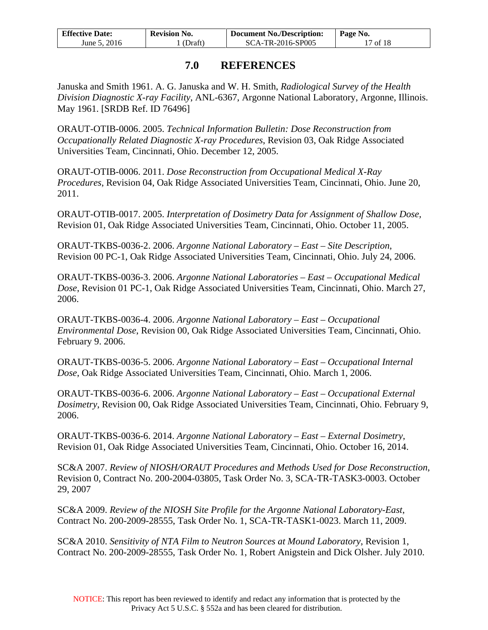| <b>Effective Date:</b> | <b>Revision No.</b> | Document No./Description: | Page No. |
|------------------------|---------------------|---------------------------|----------|
| June 5, 2016           | (Draft)             | SCA-TR-2016-SP005         | 17 of 18 |

## **7.0 REFERENCES**

<span id="page-16-0"></span>Januska and Smith 1961. A. G. Januska and W. H. Smith, *Radiological Survey of the Health Division Diagnostic X-ray Facility*, ANL-6367, Argonne National Laboratory, Argonne, Illinois. May 1961. [SRDB Ref. ID 76496]

ORAUT-OTIB-0006. 2005. *Technical Information Bulletin: Dose Reconstruction from Occupationally Related Diagnostic X-ray Procedures*, Revision 03, Oak Ridge Associated Universities Team, Cincinnati, Ohio. December 12, 2005.

ORAUT-OTIB-0006. 2011. *Dose Reconstruction from Occupational Medical X-Ray Procedures*, Revision 04, Oak Ridge Associated Universities Team, Cincinnati, Ohio. June 20, 2011.

ORAUT-OTIB-0017. 2005. *Interpretation of Dosimetry Data for Assignment of Shallow Dose,* Revision 01, Oak Ridge Associated Universities Team, Cincinnati, Ohio. October 11, 2005.

ORAUT-TKBS-0036-2. 2006. *Argonne National Laboratory – East – Site Description*, Revision 00 PC-1, Oak Ridge Associated Universities Team, Cincinnati, Ohio. July 24, 2006.

ORAUT-TKBS-0036-3. 2006. *Argonne National Laboratories – East – Occupational Medical Dose*, Revision 01 PC-1, Oak Ridge Associated Universities Team, Cincinnati, Ohio. March 27, 2006.

ORAUT-TKBS-0036-4. 2006. *Argonne National Laboratory – East – Occupational Environmental Dose*, Revision 00, Oak Ridge Associated Universities Team, Cincinnati, Ohio. February 9. 2006.

ORAUT-TKBS-0036-5. 2006. *Argonne National Laboratory – East – Occupational Internal Dose*, Oak Ridge Associated Universities Team, Cincinnati, Ohio. March 1, 2006.

ORAUT-TKBS-0036-6. 2006. *Argonne National Laboratory – East – Occupational External Dosimetry*, Revision 00, Oak Ridge Associated Universities Team, Cincinnati, Ohio. February 9, 2006.

ORAUT-TKBS-0036-6. 2014. *Argonne National Laboratory – East – External Dosimetry*, Revision 01, Oak Ridge Associated Universities Team, Cincinnati, Ohio. October 16, 2014.

SC&A 2007. *Review of NIOSH/ORAUT Procedures and Methods Used for Dose Reconstruction*, Revision 0, Contract No. 200-2004-03805, Task Order No. 3, SCA-TR-TASK3-0003. October 29, 2007

SC&A 2009. *Review of the NIOSH Site Profile for the Argonne National Laboratory-East*, Contract No. 200-2009-28555, Task Order No. 1, SCA-TR-TASK1-0023. March 11, 2009.

SC&A 2010. *Sensitivity of NTA Film to Neutron Sources at Mound Laboratory*, Revision 1, Contract No. 200-2009-28555, Task Order No. 1, Robert Anigstein and Dick Olsher. July 2010.